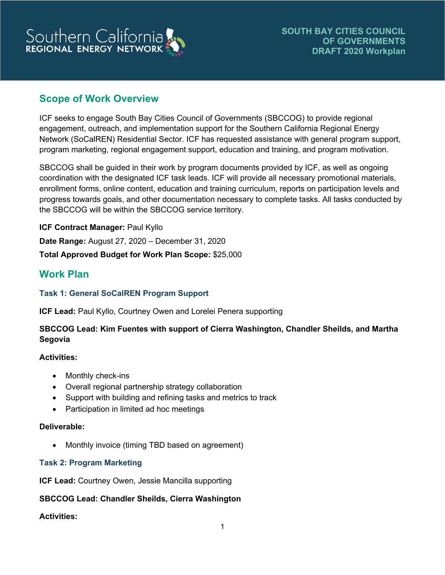# Southern California

# **Scope of Work Overview**

ICF seeks to engage South Bay Cities Council of Governments (SBCCOG) to provide regional engagement, outreach, and implementation support for the Southern California Regional Energy Network (SoCalREN) Residential Sector. ICF has requested assistance with general program support, program marketing, regional engagement support, education and training, and program motivation.

SBCCOG shall be guided in their work by program documents provided by ICF, as well as ongoing coordination with the designated ICF task leads. ICF will provide all necessary promotional materials, enrollment forms, online content, education and training curriculum, reports on participation levels and progress towards goals, and other documentation necessary to complete tasks. All tasks conducted by the SBCCOG will be within the SBCCOG service territory.

**ICF Contract Manager:** Paul Kyllo **Date Range:** August 27, 2020 – December 31, 2020 **Total Approved Budget for Work Plan Scope:** \$25,000

# **Work Plan**

## **Task 1: General SoCalREN Program Support**

**ICF Lead:** Paul Kyllo, Courtney Owen and Lorelei Penera supporting

## **SBCCOG Lead: Kim Fuentes with support of Cierra Washington, Chandler Sheilds, and Martha Segovia**

## **Activities:**

- Monthly check-ins
- Overall regional partnership strategy collaboration
- Support with building and refining tasks and metrics to track
- Participation in limited ad hoc meetings

#### **Deliverable:**

• Monthly invoice (timing TBD based on agreement)

## **Task 2: Program Marketing**

**ICF Lead:** Courtney Owen, Jessie Mancilla supporting

## **SBCCOG Lead: Chandler Sheilds, Cierra Washington**

## **Activities:**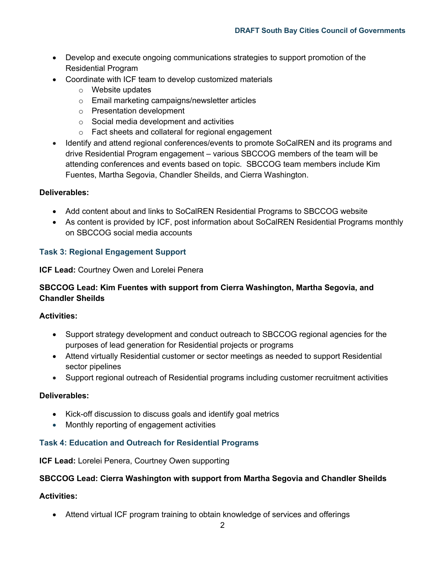- Develop and execute ongoing communications strategies to support promotion of the Residential Program
- Coordinate with ICF team to develop customized materials
	- o Website updates
	- o Email marketing campaigns/newsletter articles
	- o Presentation development
	- o Social media development and activities
	- o Fact sheets and collateral for regional engagement
- Identify and attend regional conferences/events to promote SoCalREN and its programs and drive Residential Program engagement – various SBCCOG members of the team will be attending conferences and events based on topic. SBCCOG team members include Kim Fuentes, Martha Segovia, Chandler Sheilds, and Cierra Washington.

#### **Deliverables:**

- Add content about and links to SoCalREN Residential Programs to SBCCOG website
- As content is provided by ICF, post information about SoCalREN Residential Programs monthly on SBCCOG social media accounts

#### **Task 3: Regional Engagement Support**

**ICF Lead:** Courtney Owen and Lorelei Penera

## **SBCCOG Lead: Kim Fuentes with support from Cierra Washington, Martha Segovia, and Chandler Sheilds**

#### **Activities:**

- Support strategy development and conduct outreach to SBCCOG regional agencies for the purposes of lead generation for Residential projects or programs
- Attend virtually Residential customer or sector meetings as needed to support Residential sector pipelines
- Support regional outreach of Residential programs including customer recruitment activities

#### **Deliverables:**

- Kick-off discussion to discuss goals and identify goal metrics
- Monthly reporting of engagement activities

#### **Task 4: Education and Outreach for Residential Programs**

#### **ICF Lead:** Lorelei Penera, Courtney Owen supporting

#### **SBCCOG Lead: Cierra Washington with support from Martha Segovia and Chandler Sheilds**

#### **Activities:**

• Attend virtual ICF program training to obtain knowledge of services and offerings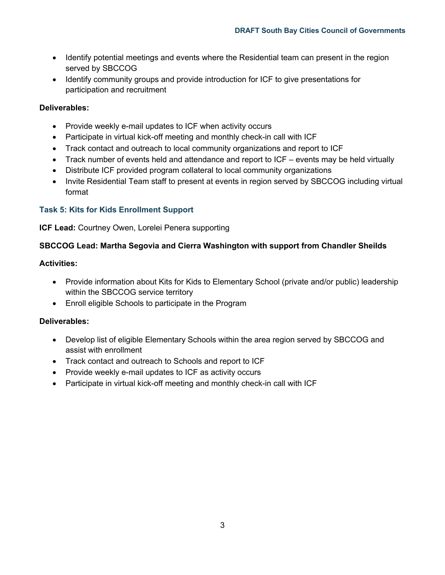- Identify potential meetings and events where the Residential team can present in the region served by SBCCOG
- Identify community groups and provide introduction for ICF to give presentations for participation and recruitment

## **Deliverables:**

- Provide weekly e-mail updates to ICF when activity occurs
- Participate in virtual kick-off meeting and monthly check-in call with ICF
- Track contact and outreach to local community organizations and report to ICF
- Track number of events held and attendance and report to ICF events may be held virtually
- Distribute ICF provided program collateral to local community organizations
- Invite Residential Team staff to present at events in region served by SBCCOG including virtual format

## **Task 5: Kits for Kids Enrollment Support**

**ICF Lead:** Courtney Owen, Lorelei Penera supporting

## **SBCCOG Lead: Martha Segovia and Cierra Washington with support from Chandler Sheilds**

## **Activities:**

- Provide information about Kits for Kids to Elementary School (private and/or public) leadership within the SBCCOG service territory
- Enroll eligible Schools to participate in the Program

## **Deliverables:**

- Develop list of eligible Elementary Schools within the area region served by SBCCOG and assist with enrollment
- Track contact and outreach to Schools and report to ICF
- Provide weekly e-mail updates to ICF as activity occurs
- Participate in virtual kick-off meeting and monthly check-in call with ICF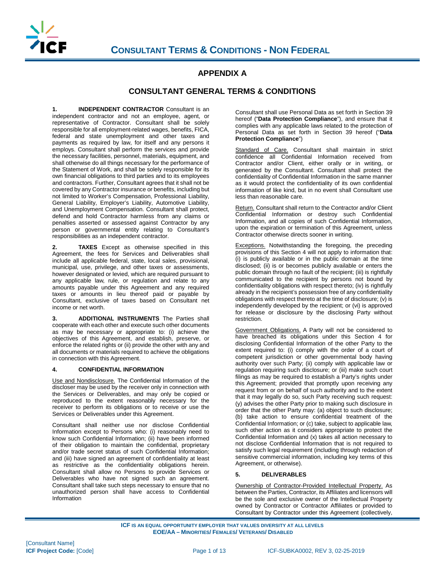

#### **APPENDIX A**

#### **CONSULTANT GENERAL TERMS & CONDITIONS**

**1. INDEPENDENT CONTRACTOR** Consultant is an independent contractor and not an employee, agent, or representative of Contractor. Consultant shall be solely responsible for all employment-related wages, benefits, FICA, federal and state unemployment and other taxes and payments as required by law, for itself and any persons it employs. Consultant shall perform the services and provide the necessary facilities, personnel, materials, equipment, and shall otherwise do all things necessary for the performance of the Statement of Work, and shall be solely responsible for its own financial obligations to third parties and to its employees and contractors. Further, Consultant agrees that it shall not be covered by any Contractor insurance or benefits, including but not limited to Worker's Compensation, Professional Liability, General Liability, Employer's Liability, Automotive Liability, and Unemployment Compensation. Consultant shall protect, defend and hold Contractor harmless from any claims or penalties asserted or assessed against Contractor by any person or governmental entity relating to Consultant's responsibilities as an independent contractor.

**2. TAXES** Except as otherwise specified in this Agreement, the fees for Services and Deliverables shall include all applicable federal, state, local sales, provisional, municipal, use, privilege, and other taxes or assessments, however designated or levied, which are required pursuant to any applicable law, rule, or regulation and relate to any amounts payable under this Agreement and any required taxes or amounts in lieu thereof paid or payable by Consultant, exclusive of taxes based on Consultant net income or net worth.

**3. ADDITIONAL INSTRUMENTS** The Parties shall cooperate with each other and execute such other documents as may be necessary or appropriate to: (i) achieve the objectives of this Agreement, and establish, preserve, or enforce the related rights or (ii) provide the other with any and all documents or materials required to achieve the obligations in connection with this Agreement.

#### **4. CONFIDENTIAL INFORMATION**

Use and Nondisclosure. The Confidential Information of the discloser may be used by the receiver only in connection with the Services or Deliverables, and may only be copied or reproduced to the extent reasonably necessary for the receiver to perform its obligations or to receive or use the Services or Deliverables under this Agreement.

Consultant shall neither use nor disclose Confidential Information except to Persons who: (i) reasonably need to know such Confidential Information; (ii) have been informed of their obligation to maintain the confidential, proprietary and/or trade secret status of such Confidential Information; and (iii) have signed an agreement of confidentiality at least as restrictive as the confidentiality obligations herein. Consultant shall allow no Persons to provide Services or Deliverables who have not signed such an agreement. Consultant shall take such steps necessary to ensure that no unauthorized person shall have access to Confidential Information

Consultant shall use Personal Data as set forth in Section 39 hereof ("**Data Protection Compliance**"), and ensure that it complies with any applicable laws related to the protection of Personal Data as set forth in Section 39 hereof ("**Data Protection Compliance**")

Standard of Care. Consultant shall maintain in strict confidence all Confidential Information received from Contractor and/or Client, either orally or in writing, or generated by the Consultant. Consultant shall protect the confidentiality of Confidential Information in the same manner as it would protect the confidentiality of its own confidential information of like kind, but in no event shall Consultant use less than reasonable care.

Return. Consultant shall return to the Contractor and/or Client Confidential Information or destroy such Confidential Information, and all copies of such Confidential Information, upon the expiration or termination of this Agreement, unless Contractor otherwise directs sooner in writing.

Exceptions. Notwithstanding the foregoing, the preceding provisions of this Section 4 will not apply to information that: (i) is publicly available or in the public domain at the time disclosed; (ii) is or becomes publicly available or enters the public domain through no fault of the recipient; (iii) is rightfully communicated to the recipient by persons not bound by confidentiality obligations with respect thereto; (iv) is rightfully already in the recipient's possession free of any confidentiality obligations with respect thereto at the time of disclosure; (v) is independently developed by the recipient; or (vi) is approved for release or disclosure by the disclosing Party without restriction.

Government Obligations. A Party will not be considered to have breached its obligations under this Section 4 for disclosing Confidential Information of the other Party to the extent required to: (i) comply with the order of a court of competent jurisdiction or other governmental body having authority over such Party; (ii) comply with applicable law or regulation requiring such disclosure; or (iii) make such court filings as may be required to establish a Party's rights under this Agreement; provided that promptly upon receiving any request from or on behalf of such authority and to the extent that it may legally do so, such Party receiving such request: (y) advises the other Party prior to making such disclosure in order that the other Party may: (a) object to such disclosure; (b) take action to ensure confidential treatment of the Confidential Information; or (c) take, subject to applicable law, such other action as it considers appropriate to protect the Confidential Information and (x) takes all action necessary to not disclose Confidential Information that is not required to satisfy such legal requirement (including through redaction of sensitive commercial information, including key terms of this Agreement, or otherwise).

#### **5. DELIVERABLES**

Ownership of Contractor-Provided Intellectual Property. As between the Parties, Contractor, its Affiliates and licensors will be the sole and exclusive owner of the Intellectual Property owned by Contractor or Contractor Affiliates or provided to Consultant by Contractor under this Agreement (collectively,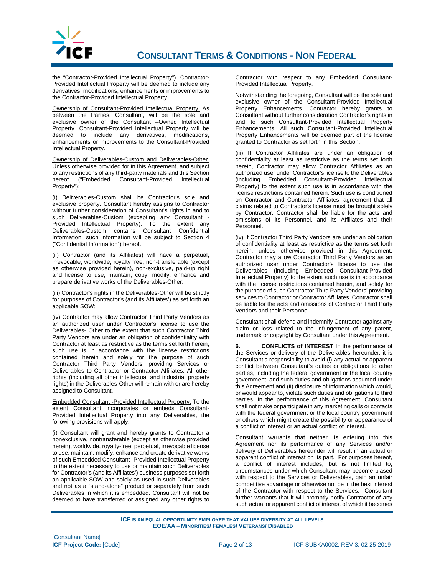

the "Contractor-Provided Intellectual Property"). Contractor-Provided Intellectual Property will be deemed to include any derivatives, modifications, enhancements or improvements to the Contractor-Provided Intellectual Property.

Ownership of Consultant-Provided Intellectual Property. As between the Parties, Consultant, will be the sole and exclusive owner of the Consultant –Owned Intellectual Property. Consultant-Provided Intellectual Property will be deemed to include any derivatives, modifications, enhancements or improvements to the Consultant-Provided Intellectual Property.

Ownership of Deliverables-Custom and Deliverables-Other. Unless otherwise provided for in this Agreement, and subject to any restrictions of any third-party materials and this Section hereof ("Embedded Consultant-Provided Intellectual Property"):

(i) Deliverables-Custom shall be Contractor's sole and exclusive property. Consultant hereby assigns to Contractor without further consideration of Consultant's rights in and to such Deliverables-Custom (excepting any Consultant - Provided Intellectual Property). To the extent any Deliverables-Custom contains Consultant Confidential Information, such information will be subject to Section 4 ("Confidential Information") hereof.

(ii) Contractor (and its Affiliates) will have a perpetual, irrevocable, worldwide, royalty free, non-transferable (except as otherwise provided herein), non-exclusive, paid-up right and license to use, maintain, copy, modify, enhance and prepare derivative works of the Deliverables-Other;

(iii) Contractor's rights in the Deliverables-Other will be strictly for purposes of Contractor's (and its Affiliates') as set forth an applicable SOW;

(iv) Contractor may allow Contractor Third Party Vendors as an authorized user under Contractor's license to use the Deliverables- Other to the extent that such Contractor Third Party Vendors are under an obligation of confidentiality with Contractor at least as restrictive as the terms set forth herein, such use is in accordance with the license restrictions contained herein and solely for the purpose of such Contractor Third Party Vendors' providing Services or Deliverables to Contractor or Contractor Affiliates. All other rights (including all other intellectual and industrial property rights) in the Deliverables-Other will remain with or are hereby assigned to Consultant.

Embedded Consultant -Provided Intellectual Property. To the extent Consultant incorporates or embeds Consultant-Provided Intellectual Property into any Deliverables, the following provisions will apply:

(i) Consultant will grant and hereby grants to Contractor a nonexclusive, nontransferable (except as otherwise provided herein), worldwide, royalty-free, perpetual, irrevocable license to use, maintain, modify, enhance and create derivative works of such Embedded Consultant -Provided Intellectual Property to the extent necessary to use or maintain such Deliverables for Contractor's (and its Affiliates') business purposes set forth an applicable SOW and solely as used in such Deliverables and not as a "stand-alone" product or separately from such Deliverables in which it is embedded. Consultant will not be deemed to have transferred or assigned any other rights to

Contractor with respect to any Embedded Consultant-Provided Intellectual Property.

Notwithstanding the foregoing, Consultant will be the sole and exclusive owner of the Consultant-Provided Intellectual Property Enhancements. Contractor hereby grants to Consultant without further consideration Contractor's rights in and to such Consultant-Provided Intellectual Property Enhancements. All such Consultant-Provided Intellectual Property Enhancements will be deemed part of the license granted to Contractor as set forth in this Section.

(iii) If Contractor Affiliates are under an obligation of confidentiality at least as restrictive as the terms set forth herein, Contractor may allow Contractor Affiliates as an authorized user under Contractor's license to the Deliverables (including Embedded Consultant-Provided Intellectual Property) to the extent such use is in accordance with the license restrictions contained herein. Such use is conditioned on Contractor and Contractor Affiliates' agreement that all claims related to Contractor's license must be brought solely by Contractor. Contractor shall be liable for the acts and omissions of its Personnel, and its Affiliates and their Personnel.

(iv) If Contractor Third Party Vendors are under an obligation of confidentiality at least as restrictive as the terms set forth herein, unless otherwise provided in this Agreement, Contractor may allow Contractor Third Party Vendors as an authorized user under Contractor's license to use the Deliverables (including Embedded Consultant-Provided Intellectual Property) to the extent such use is in accordance with the license restrictions contained herein, and solely for the purpose of such Contractor Third Party Vendors' providing services to Contractor or Contractor Affiliates. Contractor shall be liable for the acts and omissions of Contractor Third Party Vendors and their Personnel.

Consultant shall defend and indemnify Contractor against any claim or loss related to the infringement of any patent, trademark or copyright by Consultant under this Agreement.

**6. CONFLICTS of INTEREST** In the performance of the Services or delivery of the Deliverables hereunder, it is Consultant's responsibility to avoid (i) any actual or apparent conflict between Consultant's duties or obligations to other parties, including the federal government or the local country government, and such duties and obligations assumed under this Agreement and (ii) disclosure of information which would, or would appear to, violate such duties and obligations to third parties. In the performance of this Agreement, Consultant shall not make or participate in any marketing calls or contacts with the federal government or the local country government or others which might create the possibility or appearance of a conflict of interest or an actual conflict of interest.

Consultant warrants that neither its entering into this Agreement nor its performance of any Services and/or delivery of Deliverables hereunder will result in an actual or apparent conflict of interest on its part. For purposes hereof, a conflict of interest includes, but is not limited to, circumstances under which Consultant may become biased with respect to the Services or Deliverables, gain an unfair competitive advantage or otherwise not be in the best interest of the Contractor with respect to the Services. Consultant further warrants that it will promptly notify Contractor of any such actual or apparent conflict of interest of which it becomes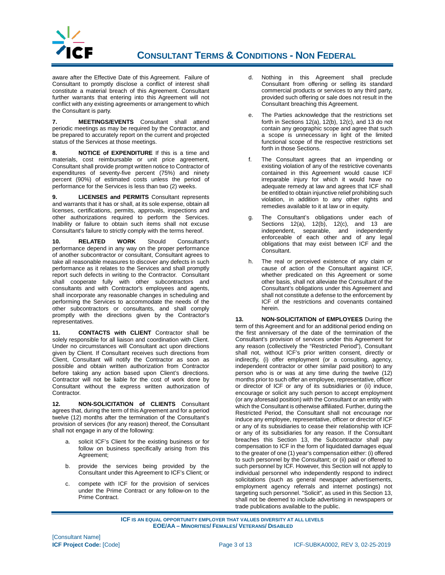

## **CONSULTANT TERMS & CONDITIONS - NON FEDERAL**

aware after the Effective Date of this Agreement. Failure of Consultant to promptly disclose a conflict of interest shall constitute a material breach of this Agreement. Consultant further warrants that entering into this Agreement will not conflict with any existing agreements or arrangement to which the Consultant is party.

**7. MEETINGS/EVENTS** Consultant shall attend periodic meetings as may be required by the Contractor, and be prepared to accurately report on the current and projected status of the Services at those meetings.

**8. NOTICE of EXPENDITURE** If this is a time and materials, cost reimbursable or unit price agreement, Consultant shall provide prompt written notice to Contractor of expenditures of seventy-five percent (75%) and ninety percent (90%) of estimated costs unless the period of performance for the Services is less than two (2) weeks.

**9. LICENSES and PERMITS** Consultant represents and warrants that it has or shall, at its sole expense, obtain all licenses, certifications, permits, approvals, inspections and other authorizations required to perform the Services. Inability or failure to obtain such items shall not excuse Consultant's failure to strictly comply with the terms hereof.

**10. RELATED WORK** Should Consultant's performance depend in any way on the proper performance of another subcontractor or consultant, Consultant agrees to take all reasonable measures to discover any defects in such performance as it relates to the Services and shall promptly report such defects in writing to the Contractor. Consultant shall cooperate fully with other subcontractors and consultants and with Contractor's employees and agents, shall incorporate any reasonable changes in scheduling and performing the Services to accommodate the needs of the other subcontractors or consultants, and shall comply promptly with the directions given by the Contractor's representatives.

**11. CONTACTS with CLIENT** Contractor shall be solely responsible for all liaison and coordination with Client. Under no circumstances will Consultant act upon directions given by Client. If Consultant receives such directions from Client, Consultant will notify the Contractor as soon as possible and obtain written authorization from Contractor before taking any action based upon Client's directions. Contractor will not be liable for the cost of work done by Consultant without the express written authorization of Contractor.

**12. NON-SOLICITATION of CLIENTS** Consultant agrees that, during the term of this Agreement and for a period twelve (12) months after the termination of the Consultant's provision of services (for any reason) thereof, the Consultant shall not engage in any of the following:

- a. solicit ICF's Client for the existing business or for follow on business specifically arising from this Agreement;
- b. provide the services being provided by the Consultant under this Agreement to ICF's Client; or
- c. compete with ICF for the provision of services under the Prime Contract or any follow-on to the Prime Contract.
- d. Nothing in this Agreement shall preclude Consultant from offering or selling its standard commercial products or services to any third party, provided such offering or sale does not result in the Consultant breaching this Agreement.
- e. The Parties acknowledge that the restrictions set forth in Sections  $12(a)$ ,  $12(b)$ ,  $12(c)$ , and 13 do not contain any geographic scope and agree that such a scope is unnecessary in light of the limited functional scope of the respective restrictions set forth in those Sections.
- f. The Consultant agrees that an impending or existing violation of any of the restrictive covenants contained in this Agreement would cause ICF irreparable injury for which it would have no adequate remedy at law and agrees that ICF shall be entitled to obtain injunctive relief prohibiting such violation, in addition to any other rights and remedies available to it at law or in equity.
- g. The Consultant's obligations under each of Sections 12(a), 12(b), 12(c), and 13 are independent, separable, and independently enforceable of each other and of any legal obligations that may exist between ICF and the Consultant.
- h. The real or perceived existence of any claim or cause of action of the Consultant against ICF, whether predicated on this Agreement or some other basis, shall not alleviate the Consultant of the Consultant's obligations under this Agreement and shall not constitute a defense to the enforcement by ICF of the restrictions and covenants contained herein.

**13. NON-SOLICITATION of EMPLOYEES** During the term of this Agreement and for an additional period ending on the first anniversary of the date of the termination of the Consultant's provision of services under this Agreement for any reason (collectively the "Restricted Period"), Consultant shall not, without ICF's prior written consent, directly or indirectly, (i) offer employment (or a consulting, agency, independent contractor or other similar paid position) to any person who is or was at any time during the twelve (12) months prior to such offer an employee, representative, officer or director of ICF or any of its subsidiaries or (ii) induce, encourage or solicit any such person to accept employment (or any aforesaid position) with the Consultant or an entity with which the Consultant is otherwise affiliated. Further, during the Restricted Period, the Consultant shall not encourage nor induce any employee, representative, officer or director of ICF or any of its subsidiaries to cease their relationship with ICF or any of its subsidiaries for any reason. If the Consultant breaches this Section 13, the Subcontractor shall pay compensation to ICF in the form of liquidated damages equal to the greater of one (1) year's compensation either: (i) offered to such personnel by the Consultant; or (ii) paid or offered to such personnel by ICF. However, this Section will not apply to individual personnel who independently respond to indirect solicitations (such as general newspaper advertisements, employment agency referrals and internet postings) not targeting such personnel. "Solicit", as used in this Section 13, shall not be deemed to include advertising in newspapers or trade publications available to the public.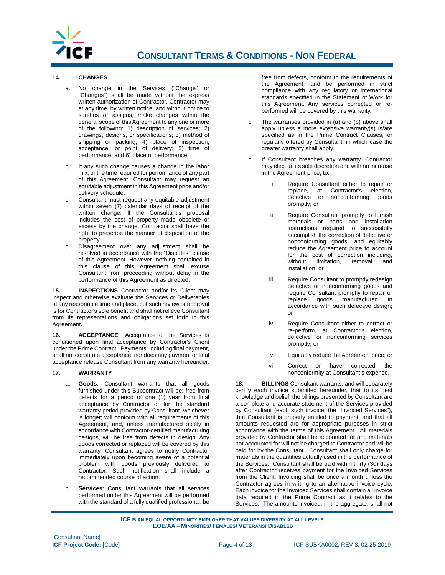

#### **14. CHANGES**

- a. No change in the Services ("Change" or "Changes") shall be made without the express written authorization of Contractor. Contractor may at any time, by written notice, and without notice to sureties or assigns, make changes within the general scope of this Agreement to any one or more of the following: 1) description of services; 2) drawings, designs, or specifications; 3) method of shipping or packing; 4) place of inspection, acceptance, or point of delivery; 5) time of performance; and 6) place of performance.
- b. If any such change causes a change in the labor mix, or the time required for performance of any part of this Agreement, Consultant may request an equitable adjustment in this Agreement price and/or delivery schedule.
- c. Consultant must request any equitable adjustment within seven (7) calendar days of receipt of the written change. If the Consultant's proposal includes the cost of property made obsolete or excess by the change, Contractor shall have the right to prescribe the manner of disposition of the property.
- d. Disagreement over any adjustment shall be resolved in accordance with the "Disputes" clause of this Agreement. However, nothing contained in this clause of this Agreement shall excuse Consultant from proceeding without delay in the performance of this Agreement as directed.

**15. INSPECTIONS** Contractor and/or its Client may inspect and otherwise evaluate the Services or Deliverables at any reasonable time and place, but such review or approval is for Contractor's sole benefit and shall not relieve Consultant from its representations and obligations set forth in this Agreement.

**16. ACCEPTANCE** Acceptance of the Services is conditioned upon final acceptance by Contractor's Client under the Prime Contract. Payments, including final payment, shall not constitute acceptance, nor does any payment or final acceptance release Consultant from any warranty hereunder.

#### **17. WARRANTY**

- a. **Goods**: Consultant warrants that all goods furnished under this Subcontract will be: free from defects for a period of one (1) year from final acceptance by Contractor or for the standard warranty period provided by Consultant, whichever is longer; will conform with all requirements of this Agreement, and, unless manufactured solely in accordance with Contractor-certified manufacturing designs, will be free from defects in design. Any goods corrected or replaced will be covered by this warranty. Consultant agrees to notify Contractor immediately upon becoming aware of a potential problem with goods previously delivered to Contractor. Such notification shall include a recommended course of action.
- **Services:** Consultant warrants that all services performed under this Agreement will be performed with the standard of a fully qualified professional, be

free from defects, conform to the requirements of the Agreement, and be performed in strict compliance with any regulatory or international standards specified in the Statement of Work for this Agreement. Any services corrected or reperformed will be covered by this warranty.

- c. The warranties provided in (a) and (b) above shall apply unless a more extensive warranty(s) is/are specified as in the Prime Contract Clauses, or regularly offered by Consultant, in which case the greater warranty shall apply.
- d. If Consultant breaches any warranty, Contractor may elect, at its sole discretion and with no increase in the Agreement price, to:
	- Require Consultant either to repair or replace, at Contractor's election, defective or nonconforming goods promptly; or
	- ii. Require Consultant promptly to furnish materials or parts and installation instructions required to successfully accomplish the correction of defective or nonconforming goods, and equitably reduce the Agreement price to account for the cost of correction including,<br>without limitation. removal and limitation, removal and installation; or
	- iii. Require Consultant to promptly redesign defective or nonconforming goods and require Consultant promptly to repair or replace goods manufactured in accordance with such defective design; or
	- iv. Require Consultant either to correct or re-perform, at Contractor's election, defective or nonconforming services promptly; or
	- v. Equitably reduce the Agreement price; or
	- vi. Correct or have corrected the nonconformity at Consultant's expense.

**18. BILLINGS** Consultant warrants, and will separately certify each invoice submitted hereunder, that to its best knowledge and belief, the billings presented by Consultant are a complete and accurate statement of the Services provided by Consultant (each such invoice, the "Invoiced Services"), that Consultant is properly entitled to payment, and that all amounts requested are for appropriate purposes in strict accordance with the terms of this Agreement. All materials provided by Contractor shall be accounted for and materials not accounted for will not be charged to Contractor and will be paid for by the Consultant. Consultant shall only charge for materials in the quantities actually used in the performance of the Services. Consultant shall be paid within thirty (30) days after Contractor receives payment for the Invoiced Services from the Client. Invoicing shall be once a month unless the Contractor agrees in writing to an alternative invoice cycle. Each invoice for the Invoiced Services shall contain all invoice data required in the Prime Contract as it relates to the Services. The amounts invoiced, in the aggregate, shall not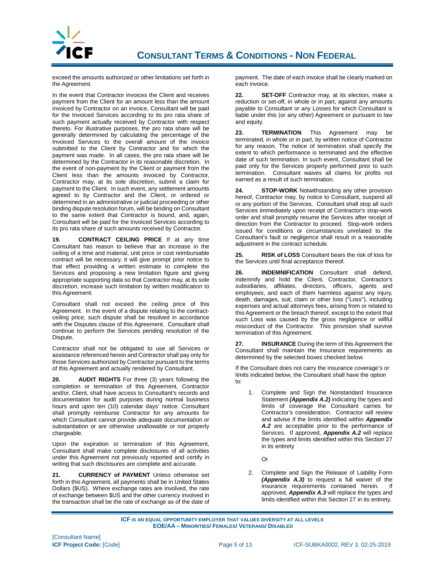

exceed the amounts authorized or other limitations set forth in the Agreement.

In the event that Contractor invoices the Client and receives payment from the Client for an amount less than the amount invoiced by Contractor on an invoice, Consultant will be paid for the Invoiced Services according to its pro rata share of such payment actually received by Contractor with respect thereto. For illustrative purposes, the pro rata share will be generally determined by calculating the percentage of the Invoiced Services to the overall amount of the invoice submitted to the Client by Contractor and for which the payment was made. In all cases, the pro rata share will be determined by the Contractor in its reasonable discretion. In the event of non-payment by the Client or payment from the Client less than the amounts invoiced by Contractor, Contractor may, at its sole discretion, submit a claim for payment to the Client. In such event, any settlement amounts agreed to by Contractor and the Client, or ordered or determined in an administrative or judicial proceeding or other binding dispute resolution forum, will be binding on Consultant to the same extent that Contractor is bound, and, again, Consultant will be paid for the Invoiced Services according to its pro rata share of such amounts received by Contractor.

**19. CONTRACT CEILING PRICE** If at any time Consultant has reason to believe that an increase in the ceiling of a time and material, unit price or cost reimbursable contract will be necessary, it will give prompt prior notice to that effect providing a written estimate to complete the Services and proposing a new limitation figure and giving appropriate supporting data so that Contractor may, at its sole discretion, increase such limitation by written modification to this Agreement.

Consultant shall not exceed the ceiling price of this Agreement. In the event of a dispute relating to the contractceiling price, such dispute shall be resolved in accordance with the Disputes clause of this Agreement. Consultant shall continue to perform the Services pending resolution of the Dispute.

Contractor shall not be obligated to use all Services or assistance referenced herein and Contractor shall pay only for those Services authorized by Contractor pursuant to the terms of this Agreement and actually rendered by Consultant.

**20. AUDIT RIGHTS** For three (3) years following the completion or termination of this Agreement, Contractor and/or, Client, shall have access to Consultant's records and documentation for audit purposes during normal business hours and upon ten (10) calendar days' notice. Consultant shall promptly reimburse Contractor for any amounts for which Consultant cannot provide adequate documentation or substantiation or are otherwise unallowable or not properly chargeable.

Upon the expiration or termination of this Agreement, Consultant shall make complete disclosures of all activities under this Agreement not previously reported and certify in writing that such disclosures are complete and accurate.

**21. CURRENCY of PAYMENT** Unless otherwise set forth in this Agreement, all payments shall be in United States Dollars (\$US). Where exchange rates are involved, the rate of exchange between \$US and the other currency involved in the transaction shall be the rate of exchange as of the date of

payment. The date of each invoice shall be clearly marked on each invoice.

**22. SET-OFF** Contractor may, at its election, make a reduction or set-off, in whole or in part, against any amounts payable to Consultant or any Losses for which Consultant is liable under this (or any other) Agreement or pursuant to law and equity.

**23. TERMINATION** This Agreement may be terminated, in whole or in part, by written notice of Contractor for any reason. The notice of termination shall specify the extent to which performance is terminated and the effective date of such termination. In such event, Consultant shall be paid only for the Services properly performed prior to such termination. Consultant waives all claims for profits not earned as a result of such termination.

**24. STOP-WORK** Notwithstanding any other provision hereof, Contractor may, by notice to Consultant, suspend all or any portion of the Services. Consultant shall stop all such Services immediately upon receipt of Contractor's stop-work order and shall promptly resume the Services after receipt of direction from the Contractor to proceed. Stop-work orders issued for conditions or circumstances unrelated to the Consultant's fault or negligence shall result in a reasonable adjustment in the contract schedule.

**25. RISK of LOSS** Consultant bears the risk of loss for the Services until final acceptance thereof.

**26. INDEMNIFICATION** Consultant shall defend, indemnify and hold the Client, Contractor, Contractor's subsidiaries, affiliates, directors, officers, agents and employees, and each of them harmless against any injury, death, damages, suit, claim or other loss ("Loss"), including expenses and actual attorneys fees, arising from or related to this Agreement or the breach thereof, except to the extent that such Loss was caused by the gross negligence or willful misconduct of the Contractor. This provision shall survive termination of this Agreement.

**27. INSURANCE** During the term of this Agreement the Consultant shall maintain the Insurance requirements as determined by the selected boxes checked below.

If the Consultant does not carry the insurance coverage's or limits indicated below, the Consultant shall have the option to:

1. Complete and Sign the Nonstandard Insurance Statement *(Appendix A.2)* indicating the types and limits of coverage the Consultant carries for Contractor's consideration. Contractor will review and advise if the limits identified within *Appendix A.2* are acceptable prior to the performance of Services. If approved, *Appendix A.2* will replace the types and limits identified within this Section 27 in its entirety

 $\Omega$ r

2. Complete and Sign the Release of Liability Form *(Appendix A.3)* to request a full waiver of the insurance requirements contained herein. insurance requirements contained herein. approved, *Appendix A.3* will replace the types and limits identified within this Section 27 in its entirety.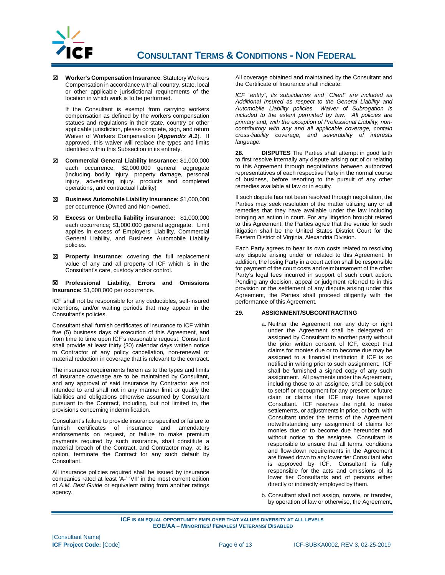

☒ **Worker's Compensation Insurance**: Statutory Workers Compensation in accordance with all country, state, local or other applicable jurisdictional requirements of the location in which work is to be performed.

If the Consultant is exempt from carrying workers compensation as defined by the workers compensation statues and regulations in their state, country or other applicable jurisdiction, please complete, sign, and return Waiver of Workers Compensation (*Appendix A.1*). If approved, this waiver will replace the types and limits identified within this Subsection in its entirety.

- ☒ **Commercial General Liability Insurance:** \$1,000,000 each occurrence; \$2,000,000 general aggregate (including bodily injury, property damage, personal injury, advertising injury, products and completed operations, and contractual liability)
- ☒ **Business Automobile Liability Insurance:** \$1,000,000 per occurrence (Owned and Non-owned.
- ☒ **Excess or Umbrella liability insurance:** \$1,000,000 each occurrence; \$1,000,000 general aggregate. Limit applies in excess of Employers' Liability, Commercial General Liability, and Business Automobile Liability policies.
- ☒ **Property Insurance:** covering the full replacement value of any and all property of ICF which is in the Consultant's care, custody and/or control.

☒ **Professional Liability, Errors and Omissions Insurance:** \$1,000,000 per occurrence.

ICF shall not be responsible for any deductibles, self-insured retentions, and/or waiting periods that may appear in the Consultant's policies.

Consultant shall furnish certificates of insurance to ICF within five (5) business days of execution of this Agreement, and from time to time upon ICF's reasonable request. Consultant shall provide at least thirty (30) calendar days written notice to Contractor of any policy cancellation, non-renewal or material reduction in coverage that is relevant to the contract.

The insurance requirements herein as to the types and limits of insurance coverage are to be maintained by Consultant, and any approval of said insurance by Contractor are not intended to and shall not in any manner limit or qualify the liabilities and obligations otherwise assumed by Consultant pursuant to the Contract, including, but not limited to, the provisions concerning indemnification.

Consultant's failure to provide insurance specified or failure to furnish certificates of insurance and amendatory endorsements on request, or failure to make premium payments required by such insurance, shall constitute a material breach of the Contract, and Contractor may, at its option, terminate the Contract for any such default by Consultant.

All insurance policies required shall be issued by insurance companies rated at least 'A-' 'VII' in the most current edition of *A.M. Best Guide* or equivalent rating from another ratings agency.

All coverage obtained and maintained by the Consultant and the Certificate of Insurance shall indicate:

*ICF "entity", its subsidiaries and "Client" are included as Additional Insured as respect to the General Liability and Automobile Liability policies. Waiver of Subrogation is included to the extent permitted by law. All policies are primary and, with the exception of Professional Liability, noncontributory with any and all applicable coverage, contain cross-liability coverage, and severability of interests language.*

**28. DISPUTES** The Parties shall attempt in good faith to first resolve internally any dispute arising out of or relating to this Agreement through negotiations between authorized representatives of each respective Party in the normal course of business, before resorting to the pursuit of any other remedies available at law or in equity.

If such dispute has not been resolved through negotiation, the Parties may seek resolution of the matter utilizing any or all remedies that they have available under the law including bringing an action in court. For any litigation brought related to this Agreement, the Parties agree that the venue for such litigation shall be the United States District Court for the Eastern District of Virginia, Alexandria Division.

Each Party agrees to bear its own costs related to resolving any dispute arising under or related to this Agreement. In addition, the losing Party in a court action shall be responsible for payment of the court costs and reimbursement of the other Party's legal fees incurred in support of such court action. Pending any decision, appeal or judgment referred to in this provision or the settlement of any dispute arising under this Agreement, the Parties shall proceed diligently with the performance of this Agreement.

#### **29. ASSIGNMENT/SUBCONTRACTING**

- a. Neither the Agreement nor any duty or right under the Agreement shall be delegated or assigned by Consultant to another party without the prior written consent of ICF, except that claims for monies due or to become due may be assigned to a financial institution if ICF is so notified in writing prior to such assignment. ICF shall be furnished a signed copy of any such assignment. All payments under the Agreement, including those to an assignee, shall be subject to setoff or recoupment for any present or future claim or claims that ICF may have against Consultant. ICF reserves the right to make settlements, or adjustments in price, or both, with Consultant under the terms of the Agreement notwithstanding any assignment of claims for monies due or to become due hereunder and without notice to the assignee. Consultant is responsible to ensure that all terms, conditions and flow-down requirements in the Agreement are flowed down to any lower tier Consultant who is approved by ICF. Consultant is fully responsible for the acts and omissions of its lower tier Consultants and of persons either directly or indirectly employed by them.
- b. Consultant shall not assign, novate, or transfer, by operation of law or otherwise, the Agreement,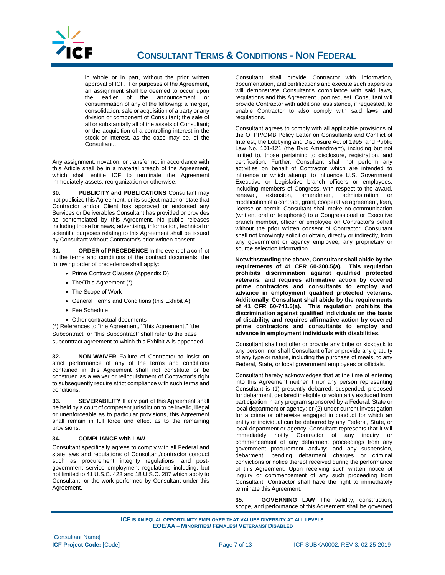

in whole or in part, without the prior written approval of ICF. For purposes of the Agreement, an assignment shall be deemed to occur upon the earlier of the announcement or consummation of any of the following: a merger, consolidation, sale or acquisition of a party or any division or component of Consultant; the sale of all or substantially all of the assets of Consultant; or the acquisition of a controlling interest in the stock or interest, as the case may be, of the Consultant..

Any assignment, novation, or transfer not in accordance with this Article shall be in a material breach of the Agreement, which shall entitle ICF to terminate the Agreement immediately.assets, reorganization or otherwise.

**30. PUBLICITY and PUBLICATIONS** Consultant may not publicize this Agreement, or its subject matter or state that Contractor and/or Client has approved or endorsed any Services or Deliverables Consultant has provided or provides as contemplated by this Agreement. No public releases including those for news, advertising, information, technical or scientific purposes relating to this Agreement shall be issued by Consultant without Contractor's prior written consent.

**31. ORDER of PRECEDENCE** In the event of a conflict in the terms and conditions of the contract documents, the following order of precedence shall apply:

- Prime Contract Clauses (Appendix D)
- The/This Agreement (\*)
- The Scope of Work
- General Terms and Conditions (this Exhibit A)
- Fee Schedule
- Other contractual documents

(\*) References to "the Agreement," "this Agreement," "the Subcontract" or "this Subcontract" shall refer to the base subcontract agreement to which this Exhibit A is appended

**32. NON-WAIVER** Failure of Contractor to insist on strict performance of any of the terms and conditions contained in this Agreement shall not constitute or be construed as a waiver or relinquishment of Contractor's right to subsequently require strict compliance with such terms and conditions.

**33. SEVERABILITY** If any part of this Agreement shall be held by a court of competent jurisdiction to be invalid, illegal or unenforceable as to particular provisions, this Agreement shall remain in full force and effect as to the remaining provisions.

#### **34. COMPLIANCE with LAW**

Consultant specifically agrees to comply with all Federal and state laws and regulations of Consultant/contractor conduct such as procurement integrity regulations, and postgovernment service employment regulations including, but not limited to 41 U.S.C. 423 and 18 U.S.C. 207 which apply to Consultant, or the work performed by Consultant under this Agreement.

Consultant shall provide Contractor with information, documentation, and certifications and execute such papers as will demonstrate Consultant's compliance with said laws. regulations and this Agreement upon request. Consultant will provide Contractor with additional assistance, if requested, to enable Contractor to also comply with said laws and regulations.

Consultant agrees to comply with all applicable provisions of the OFPP/OMB Policy Letter on Consultants and Conflict of Interest, the Lobbying and Disclosure Act of 1995, and Public Law No. 101-121 (the Byrd Amendment), including but not limited to, those pertaining to disclosure, registration, and certification. Further, Consultant shall not perform any activities on behalf of Contractor which are intended to influence or which attempt to influence U.S. Government Executive or Legislative branch officers or employees, including members of Congress, with respect to the award, renewal, extension, amendment, administration or renewal, extension, amendment, modification of a contract, grant, cooperative agreement, loan, license or permit. Consultant shall make no communication (written, oral or telephonic) to a Congressional or Executive branch member, officer or employee on Contractor's behalf without the prior written consent of Contractor. Consultant shall not knowingly solicit or obtain, directly or indirectly, from any government or agency employee, any proprietary or source selection information.

**Notwithstanding the above, Consultant shall abide by the requirements of 41 CFR 60-300.5(a). This regulation prohibits discrimination against qualified protected veterans, and requires affirmative action by covered prime contractors and consultants to employ and advance in employment qualified protected veterans. Additionally, Consultant shall abide by the requirements of 41 CFR 60-741.5(a). This regulation prohibits the discrimination against qualified individuals on the basis of disability, and requires affirmative action by covered prime contractors and consultants to employ and advance in employment individuals with disabilities.**

Consultant shall not offer or provide any bribe or kickback to any person, nor shall Consultant offer or provide any gratuity of any type or nature, including the purchase of meals, to any Federal, State, or local government employees or officials.

Consultant hereby acknowledges that at the time of entering into this Agreement neither it nor any person representing Consultant is (1) presently debarred, suspended, proposed for debarment, declared ineligible or voluntarily excluded from participation in any program sponsored by a Federal, State or local department or agency; or (2) under current investigation for a crime or otherwise engaged in conduct for which an entity or individual can be debarred by any Federal, State, or local department or agency. Consultant represents that it will immediately notify Contractor of any inquiry or commencement of any debarment proceedings from any government procurement activity; and any suspension, debarment, pending debarment charges or criminal convictions or notice thereof received during the performance of this Agreement. Upon receiving such written notice of inquiry or commencement of any such proceeding from Consultant, Contractor shall have the right to immediately terminate this Agreement.

**35. GOVERNING LAW** The validity, construction, scope, and performance of this Agreement shall be governed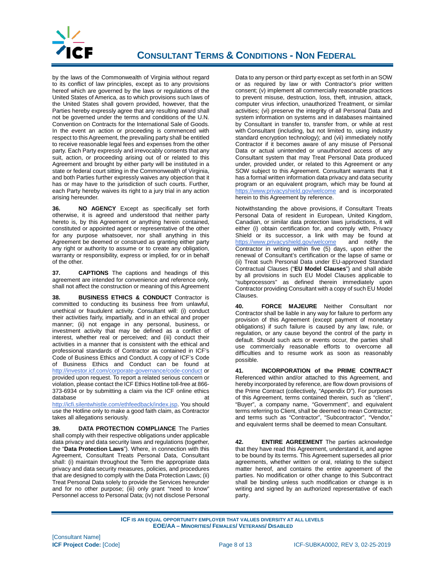

by the laws of the Commonwealth of Virginia without regard to its conflict of law principles, except as to any provisions hereof which are governed by the laws or regulations of the United States of America, as to which provisions such laws of the United States shall govern provided, however, that the Parties hereby expressly agree that any resulting award shall not be governed under the terms and conditions of the U.N. Convention on Contracts for the International Sale of Goods. In the event an action or proceeding is commenced with respect to this Agreement, the prevailing party shall be entitled to receive reasonable legal fees and expenses from the other party. Each Party expressly and irrevocably consents that any suit, action, or proceeding arising out of or related to this Agreement and brought by either party will be instituted in a state or federal court sitting in the Commonwealth of Virginia, and both Parties further expressly waives any objection that it has or may have to the jurisdiction of such courts. Further, each Party hereby waives its right to a jury trial in any action arising hereunder.

**36. NO AGENCY** Except as specifically set forth otherwise, it is agreed and understood that neither party hereto is, by this Agreement or anything herein contained, constituted or appointed agent or representative of the other for any purpose whatsoever, nor shall anything in this Agreement be deemed or construed as granting either party any right or authority to assume or to create any obligation, warranty or responsibility, express or implied, for or in behalf of the other.

**37. CAPTIONS** The captions and headings of this agreement are intended for convenience and reference only, shall not affect the construction or meaning of this Agreement

**38. BUSINESS ETHICS & CONDUCT** Contractor is committed to conducting its business free from unlawful, unethical or fraudulent activity. Consultant will: (i) conduct their activities fairly, impartially, and in an ethical and proper manner; (ii) not engage in any personal, business, or investment activity that may be defined as a conflict of interest, whether real or perceived; and (iii) conduct their activities in a manner that is consistent with the ethical and professional standards of Contractor as contained in ICF's Code of Business Ethics and Conduct. A copy of ICF's Code of Business Ethics and Conduct can be found at <http://investor.icf.com/corporate-governance/code-conduct> or provided upon request. To report a related serious concern or violation, please contact the ICF Ethics Hotline toll-free at 866- 373-6934 or by submitting a claim via the ICF online ethics database at

[http://icfi.silentwhistle.com/ethfeedback/index.jsp.](http://icfi.silentwhistle.com/ethfeedback/index.jsp) You should use the Hotline only to make a good faith claim, as Contractor takes all allegations seriously.

**39. DATA PROTECTION COMPLIANCE** The Parties shall comply with their respective obligations under applicable data privacy and data security laws and regulations (together, the "**Data Protection Laws**"). Where, in connection with this Agreement, Consultant Treats Personal Data, Consultant shall: (i) maintain throughout the Term the appropriate data privacy and data security measures, policies, and procedures that are designed to comply with the Data Protection Laws; (ii) Treat Personal Data solely to provide the Services hereunder and for no other purpose; (iii) only grant "need to know" Personnel access to Personal Data; (iv) not disclose Personal

Data to any person or third party except as set forth in an SOW or as required by law or with Contractor's prior written consent; (v) implement all commercially reasonable practices to prevent misuse, destruction, loss, theft, intrusion, attack, computer virus infection, unauthorized Treatment, or similar activities; (vi) preserve the integrity of all Personal Data and system information on systems and in databases maintained by Consultant in transfer to, transfer from, or while at rest with Consultant (including, but not limited to, using industry standard encryption technology); and (vii) immediately notify Contractor if it becomes aware of any misuse of Personal Data or actual unintended or unauthorized access of any Consultant system that may Treat Personal Data produced under, provided under, or related to this Agreement or any SOW subject to this Agreement. Consultant warrants that it has a formal written information data privacy and data security program or an equivalent program, which may be found at <https://www.privacyshield.gov/welcome> and is incorporated herein to this Agreement by reference.

Notwithstanding the above provisions, if Consultant Treats Personal Data of resident in European, United Kingdom, Canadian, or similar data protection laws jurisdictions, it will either (i) obtain certification for, and comply with, Privacy Shield or its successor, a link with may be found at https://www.privacyshield.gov/welcome and notify the https://www.privacyshield.gov/welcome Contractor in writing within five (5) days, upon either the renewal of Consultant's certification or the lapse of same or (ii) Treat such Personal Data under EU-approved Standard Contractual Clauses ("**EU Model Clauses**") and shall abide by all provisions in such EU Model Clauses applicable to "subprocessors" as defined therein immediately upon Contractor providing Consultant with a copy of such EU Model Clauses.

**40. FORCE MAJEURE** Neither Consultant nor Contractor shall be liable in any way for failure to perform any provision of this Agreement (except payment of monetary obligations) if such failure is caused by any law, rule, or regulation, or any cause beyond the control of the party in default. Should such acts or events occur, the parties shall use commercially reasonable efforts to overcome all difficulties and to resume work as soon as reasonably possible.

**41. INCORPORATION of the PRIME CONTRACT** Referenced within and/or attached to this Agreement, and hereby incorporated by reference, are flow down provisions of the Prime Contract (collectively, "Appendix D"). For purposes of this Agreement, terms contained therein, such as "client", "Buyer", a company name, "Government", and equivalent terms referring to Client, shall be deemed to mean Contractor; and terms such as "Contractor", "Subcontractor", "Vendor," and equivalent terms shall be deemed to mean Consultant.

**42. ENTIRE AGREEMENT** The parties acknowledge that they have read this Agreement, understand it, and agree to be bound by its terms. This Agreement supersedes all prior agreements, whether written or oral, relating to the subject matter hereof, and contains the entire agreement of the parties. No modification or other change to this Subcontract shall be binding unless such modification or change is in writing and signed by an authorized representative of each party.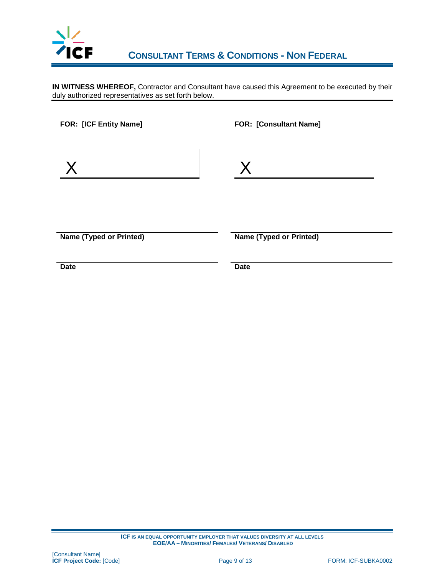

 **CONSULTANT TERMS & CONDITIONS - NON FEDERAL**

**IN WITNESS WHEREOF,** Contractor and Consultant have caused this Agreement to be executed by their duly authorized representatives as set forth below.

| FOR: [ICF Entity Name]         | <b>FOR: [Consultant Name]</b>  |
|--------------------------------|--------------------------------|
|                                | $\overline{\mathsf{X}}$        |
| <b>Name (Typed or Printed)</b> | <b>Name (Typed or Printed)</b> |
| <b>Date</b>                    | <b>Date</b>                    |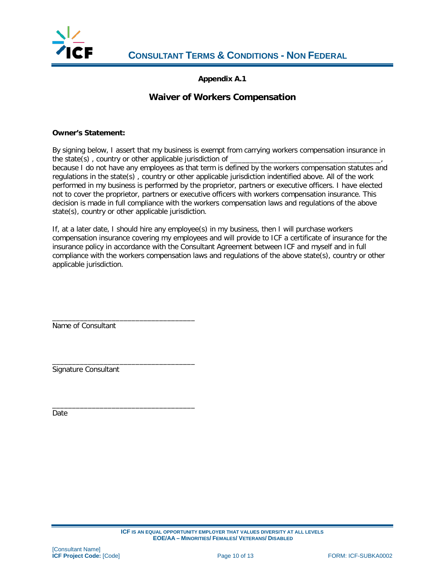

**Appendix A.1**

#### **Waiver of Workers Compensation**

#### **Owner's Statement:**

By signing below, I assert that my business is exempt from carrying workers compensation insurance in the state(s), country or other applicable jurisdiction of because I do not have any employees as that term is defined by the workers compensation statutes and regulations in the state(s) , country or other applicable jurisdiction indentified above. All of the work performed in my business is performed by the proprietor, partners or executive officers. I have elected not to cover the proprietor, partners or executive officers with workers compensation insurance. This decision is made in full compliance with the workers compensation laws and regulations of the above state(s), country or other applicable jurisdiction.

If, at a later date, I should hire any employee(s) in my business, then I will purchase workers compensation insurance covering my employees and will provide to ICF a certificate of insurance for the insurance policy in accordance with the Consultant Agreement between ICF and myself and in full compliance with the workers compensation laws and regulations of the above state(s), country or other applicable jurisdiction.

\_\_\_\_\_\_\_\_\_\_\_\_\_\_\_\_\_\_\_\_\_\_\_\_\_\_\_\_\_\_\_\_\_\_\_\_ Name of Consultant

\_\_\_\_\_\_\_\_\_\_\_\_\_\_\_\_\_\_\_\_\_\_\_\_\_\_\_\_\_\_\_\_\_\_\_\_ Signature Consultant

\_\_\_\_\_\_\_\_\_\_\_\_\_\_\_\_\_\_\_\_\_\_\_\_\_\_\_\_\_\_\_\_\_\_\_\_

Date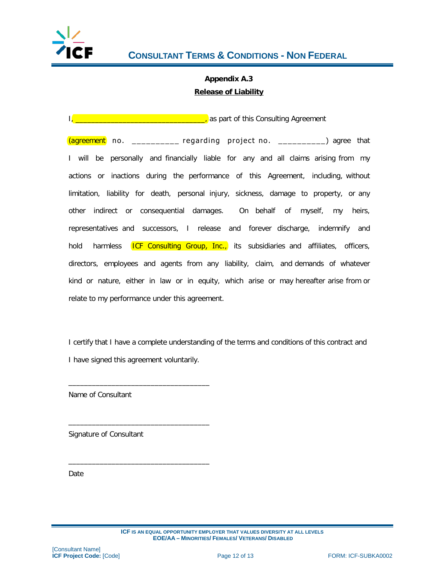

# **Appendix A.3 Release of Liability**

I, <u>\_\_\_\_\_\_\_\_\_\_\_\_\_\_\_\_\_\_\_\_\_\_\_\_\_\_\_\_\_\_\_</u>, as part of this Consulting Agreement

(agreement no. \_\_\_\_\_\_\_\_\_\_ regarding project no. \_\_\_\_\_\_\_\_\_\_) agree that I will be personally and financially liable for any and all claims arising from my actions or inactions during the performance of this Agreement, including, without limitation, liability for death, personal injury, sickness, damage to property, or any other indirect or consequential damages. On behalf of myself, my heirs, representatives and successors, I release and forever discharge, indemnify and hold harmless **ICF Consulting Group, Inc.,** its subsidiaries and affiliates, officers, directors, employees and agents from any liability, claim, and demands of whatever kind or nature, either in law or in equity, which arise or may hereafter arise from or relate to my performance under this agreement.

I certify that I have a complete understanding of the terms and conditions of this contract and I have signed this agreement voluntarily.

Name of Consultant

\_\_\_\_\_\_\_\_\_\_\_\_\_\_\_\_\_\_\_\_\_\_\_\_\_\_\_\_\_\_\_\_\_\_\_\_

\_\_\_\_\_\_\_\_\_\_\_\_\_\_\_\_\_\_\_\_\_\_\_\_\_\_\_\_\_\_\_\_\_\_\_\_

 $\overline{\phantom{a}}$  , and the contract of the contract of the contract of  $\overline{\phantom{a}}$ 

Signature of Consultant

Date